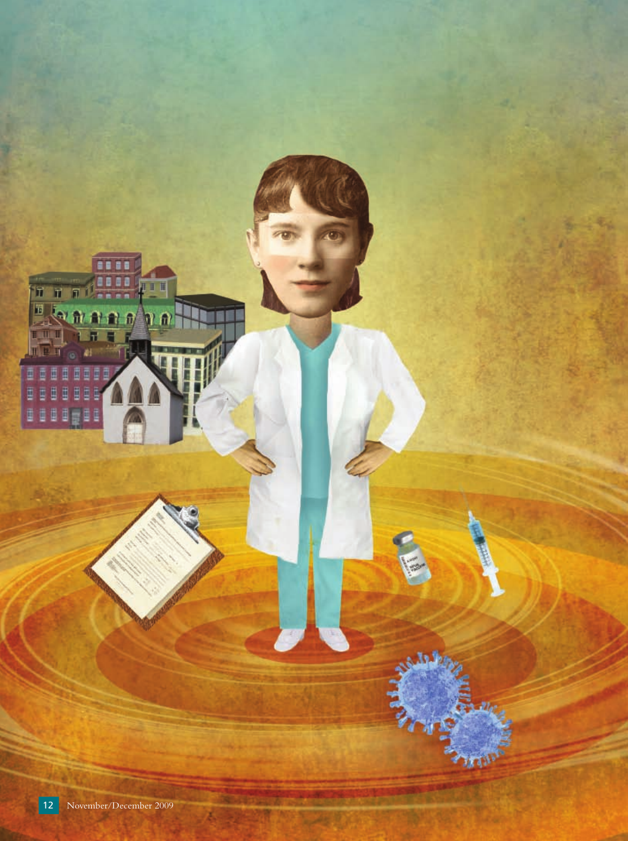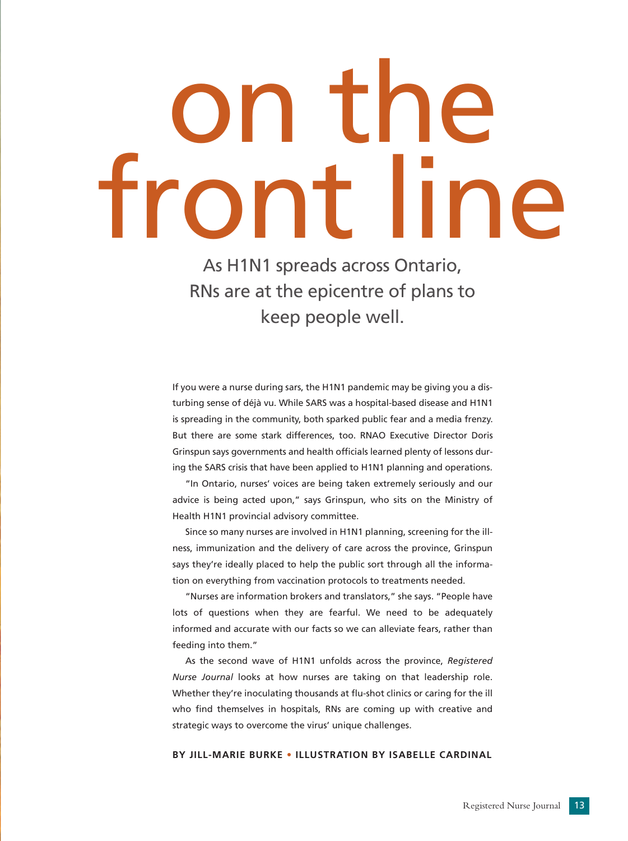# on the front line

As H1N1 spreads across Ontario, RNs are at the epicentre of plans to keep people well.

If you were a nurse during sars, the H1N1 pandemic may be giving you a disturbing sense of déjà vu. While SARS was a hospital-based disease and H1N1 is spreading in the community, both sparked public fear and a media frenzy. But there are some stark differences, too. RNAO Executive Director Doris Grinspun says governments and health officials learned plenty of lessons during the SARS crisis that have been applied to H1N1 planning and operations.

"In Ontario, nurses' voices are being taken extremely seriously and our advice is being acted upon," says Grinspun, who sits on the Ministry of Health H1N1 provincial advisory committee.

Since so many nurses are involved in H1N1 planning, screening for the illness, immunization and the delivery of care across the province, Grinspun says they're ideally placed to help the public sort through all the information on everything from vaccination protocols to treatments needed.

"Nurses are information brokers and translators," she says. "People have lots of questions when they are fearful. We need to be adequately informed and accurate with our facts so we can alleviate fears, rather than feeding into them."

As the second wave of H1N1 unfolds across the province, *Registered Nurse Journal* looks at how nurses are taking on that leadership role. Whether they're inoculating thousands at flu-shot clinics or caring for the ill who find themselves in hospitals, RNs are coming up with creative and strategic ways to overcome the virus' unique challenges.

# **BY JILL-MARIE BURKE • ILLUSTRATION BY ISABELLE CARDINAL**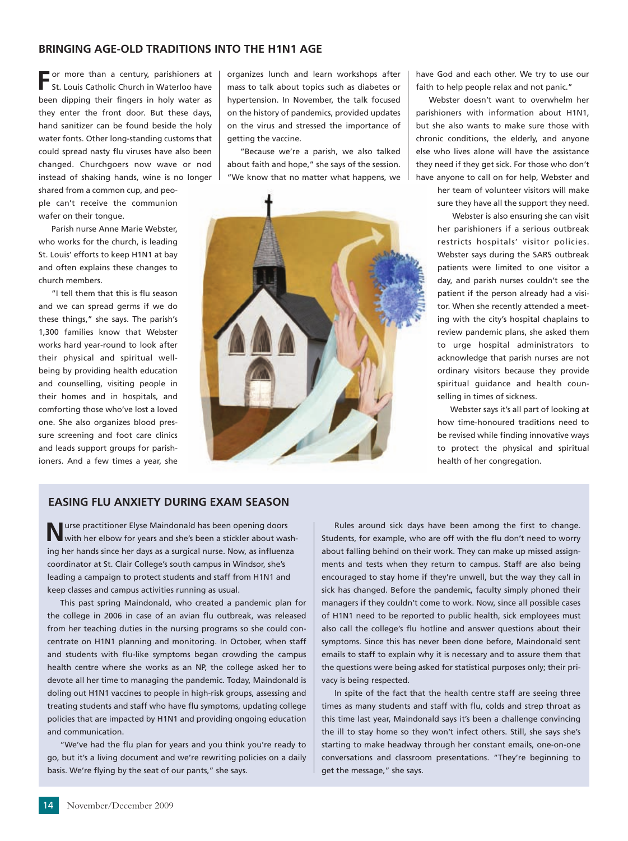# **BRINGING AGE-OLD TRADITIONS INTO THE H1N1 AGE**

**F** or more than a century, parishioners at St. Louis Catholic Church in Waterloo have been dipping their fingers in holy water as they enter the front door. But these days, hand sanitizer can be found beside the holy water fonts. Other long-standing customs that could spread nasty flu viruses have also been changed. Churchgoers now wave or nod instead of shaking hands, wine is no longer shared from a common cup, and peo-

ple can't receive the communion wafer on their tongue.

Parish nurse Anne Marie Webster, who works for the church, is leading St. Louis' efforts to keep H1N1 at bay and often explains these changes to church members.

"I tell them that this is flu season and we can spread germs if we do these things," she says. The parish's 1,300 families know that Webster works hard year-round to look after their physical and spiritual wellbeing by providing health education and counselling, visiting people in their homes and in hospitals, and comforting those who've lost a loved one. She also organizes blood pressure screening and foot care clinics and leads support groups for parishioners. And a few times a year, she organizes lunch and learn workshops after mass to talk about topics such as diabetes or hypertension. In November, the talk focused on the history of pandemics, provided updates on the virus and stressed the importance of getting the vaccine.

"Because we're a parish, we also talked about faith and hope," she says of the session. "We know that no matter what happens, we



have God and each other. We try to use our faith to help people relax and not panic."

Webster doesn't want to overwhelm her parishioners with information about H1N1, but she also wants to make sure those with chronic conditions, the elderly, and anyone else who lives alone will have the assistance they need if they get sick. For those who don't have anyone to call on for help, Webster and

> her team of volunteer visitors will make sure they have all the support they need.

> Webster is also ensuring she can visit her parishioners if a serious outbreak restricts hospitals' visitor policies. Webster says during the SARS outbreak patients were limited to one visitor a day, and parish nurses couldn't see the patient if the person already had a visitor. When she recently attended a meeting with the city's hospital chaplains to review pandemic plans, she asked them to urge hospital administrators to acknowledge that parish nurses are not ordinary visitors because they provide spiritual guidance and health counselling in times of sickness.

> Webster says it's all part of looking at how time-honoured traditions need to be revised while finding innovative ways to protect the physical and spiritual health of her congregation.

# **EASING FLU ANXIETY DURING EXAM SEASON**

**N**urse practitioner Elyse Maindonald has been opening doors<br>with her elbow for years and she's been a stickler about washing her hands since her days as a surgical nurse. Now, as influenza coordinator at St. Clair College's south campus in Windsor, she's leading a campaign to protect students and staff from H1N1 and keep classes and campus activities running as usual.

This past spring Maindonald, who created a pandemic plan for the college in 2006 in case of an avian flu outbreak, was released from her teaching duties in the nursing programs so she could concentrate on H1N1 planning and monitoring. In October, when staff and students with flu-like symptoms began crowding the campus health centre where she works as an NP, the college asked her to devote all her time to managing the pandemic. Today, Maindonald is doling out H1N1 vaccines to people in high-risk groups, assessing and treating students and staff who have flu symptoms, updating college policies that are impacted by H1N1 and providing ongoing education and communication.

"We've had the flu plan for years and you think you're ready to go, but it's a living document and we're rewriting policies on a daily basis. We're flying by the seat of our pants," she says.

Rules around sick days have been among the first to change. Students, for example, who are off with the flu don't need to worry about falling behind on their work. They can make up missed assignments and tests when they return to campus. Staff are also being encouraged to stay home if they're unwell, but the way they call in sick has changed. Before the pandemic, faculty simply phoned their managers if they couldn't come to work. Now, since all possible cases of H1N1 need to be reported to public health, sick employees must also call the college's flu hotline and answer questions about their symptoms. Since this has never been done before, Maindonald sent emails to staff to explain why it is necessary and to assure them that the questions were being asked for statistical purposes only; their privacy is being respected.

In spite of the fact that the health centre staff are seeing three times as many students and staff with flu, colds and strep throat as this time last year, Maindonald says it's been a challenge convincing the ill to stay home so they won't infect others. Still, she says she's starting to make headway through her constant emails, one-on-one conversations and classroom presentations. "They're beginning to get the message," she says.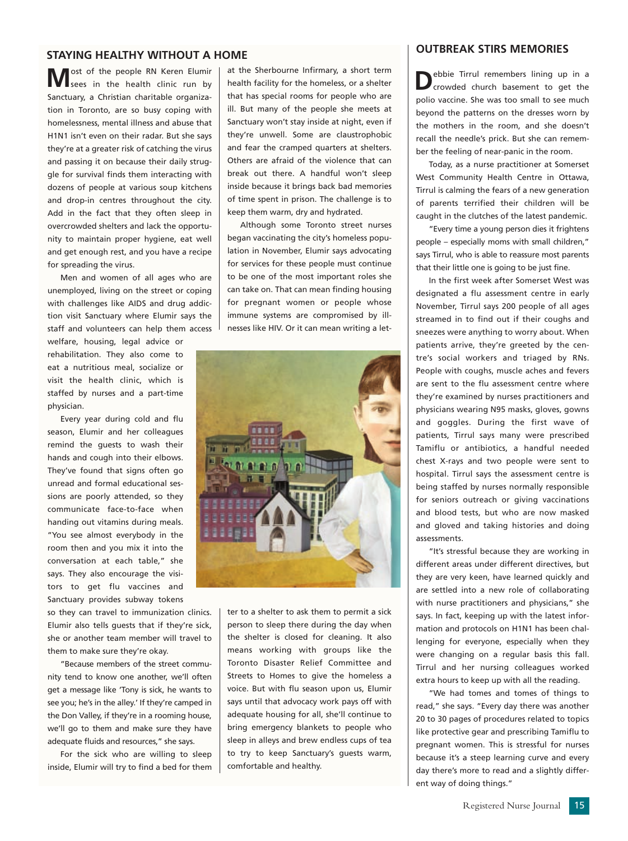**M** ost of the people RN Keren Eluming<br>sees in the health clinic run by Sanctuary, a Christian charitable organization in Toronto, are so busy coping with homelessness, mental illness and abuse that H1N1 isn't even on their radar. But she says they're at a greater risk of catching the virus and passing it on because their daily struggle for survival finds them interacting with dozens of people at various soup kitchens and drop-in centres throughout the city. Add in the fact that they often sleep in overcrowded shelters and lack the opportunity to maintain proper hygiene, eat well and get enough rest, and you have a recipe for spreading the virus.

Men and women of all ages who are unemployed, living on the street or coping with challenges like AIDS and drug addiction visit Sanctuary where Elumir says the staff and volunteers can help them access

welfare, housing, legal advice or rehabilitation. They also come to eat a nutritious meal, socialize or visit the health clinic, which is staffed by nurses and a part-time physician.

Every year during cold and flu season, Elumir and her colleagues remind the guests to wash their hands and cough into their elbows. They've found that signs often go unread and formal educational sessions are poorly attended, so they communicate face-to-face when handing out vitamins during meals. "You see almost everybody in the room then and you mix it into the conversation at each table," she says. They also encourage the visitors to get flu vaccines and Sanctuary provides subway tokens

so they can travel to immunization clinics. Elumir also tells guests that if they're sick, she or another team member will travel to them to make sure they're okay.

"Because members of the street community tend to know one another, we'll often get a message like 'Tony is sick, he wants to see you; he's in the alley.' If they're camped in the Don Valley, if they're in a rooming house, we'll go to them and make sure they have adequate fluids and resources," she says.

For the sick who are willing to sleep inside, Elumir will try to find a bed for them

at the Sherbourne Infirmary, a short term health facility for the homeless, or a shelter that has special rooms for people who are ill. But many of the people she meets at Sanctuary won't stay inside at night, even if they're unwell. Some are claustrophobic and fear the cramped quarters at shelters. Others are afraid of the violence that can break out there. A handful won't sleep inside because it brings back bad memories of time spent in prison. The challenge is to keep them warm, dry and hydrated.

Although some Toronto street nurses began vaccinating the city's homeless population in November, Elumir says advocating for services for these people must continue to be one of the most important roles she can take on. That can mean finding housing for pregnant women or people whose immune systems are compromised by illnesses like HIV. Or it can mean writing a let-



ter to a shelter to ask them to permit a sick person to sleep there during the day when the shelter is closed for cleaning. It also means working with groups like the Toronto Disaster Relief Committee and Streets to Homes to give the homeless a voice. But with flu season upon us, Elumir says until that advocacy work pays off with adequate housing for all, she'll continue to bring emergency blankets to people who sleep in alleys and brew endless cups of tea to try to keep Sanctuary's guests warm, comfortable and healthy.

# STAYING HEALTHY WITHOUT A HOME **A STAYING HEALTHY WITHOUT A HOME**

**D**ebbie Tirrul remembers lining up in a<br>crowded church basement to get the polio vaccine. She was too small to see much beyond the patterns on the dresses worn by the mothers in the room, and she doesn't recall the needle's prick. But she can remember the feeling of near-panic in the room.

Today, as a nurse practitioner at Somerset West Community Health Centre in Ottawa, Tirrul is calming the fears of a new generation of parents terrified their children will be caught in the clutches of the latest pandemic.

"Every time a young person dies it frightens people – especially moms with small children," says Tirrul, who is able to reassure most parents that their little one is going to be just fine.

In the first week after Somerset West was designated a flu assessment centre in early November, Tirrul says 200 people of all ages streamed in to find out if their coughs and sneezes were anything to worry about. When patients arrive, they're greeted by the centre's social workers and triaged by RNs. People with coughs, muscle aches and fevers are sent to the flu assessment centre where they're examined by nurses practitioners and physicians wearing N95 masks, gloves, gowns and goggles. During the first wave of patients, Tirrul says many were prescribed Tamiflu or antibiotics, a handful needed chest X-rays and two people were sent to hospital. Tirrul says the assessment centre is being staffed by nurses normally responsible for seniors outreach or giving vaccinations and blood tests, but who are now masked and gloved and taking histories and doing assessments.

"It's stressful because they are working in different areas under different directives, but they are very keen, have learned quickly and are settled into a new role of collaborating with nurse practitioners and physicians," she says. In fact, keeping up with the latest information and protocols on H1N1 has been challenging for everyone, especially when they were changing on a regular basis this fall. Tirrul and her nursing colleagues worked extra hours to keep up with all the reading.

"We had tomes and tomes of things to read," she says. "Every day there was another 20 to 30 pages of procedures related to topics like protective gear and prescribing Tamiflu to pregnant women. This is stressful for nurses because it's a steep learning curve and every day there's more to read and a slightly different way of doing things."